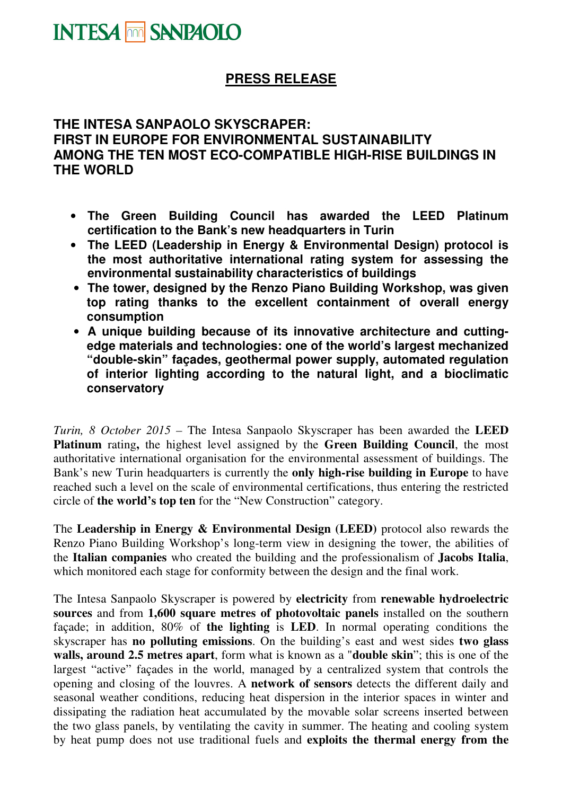## **PRESS RELEASE**

## **THE INTESA SANPAOLO SKYSCRAPER: FIRST IN EUROPE FOR ENVIRONMENTAL SUSTAINABILITY AMONG THE TEN MOST ECO-COMPATIBLE HIGH-RISE BUILDINGS IN THE WORLD**

- **The Green Building Council has awarded the LEED Platinum certification to the Bank's new headquarters in Turin**
- **The LEED (Leadership in Energy & Environmental Design) protocol is the most authoritative international rating system for assessing the environmental sustainability characteristics of buildings**
- **The tower, designed by the Renzo Piano Building Workshop, was given top rating thanks to the excellent containment of overall energy consumption**
- **A unique building because of its innovative architecture and cuttingedge materials and technologies: one of the world's largest mechanized "double-skin" façades, geothermal power supply, automated regulation of interior lighting according to the natural light, and a bioclimatic conservatory**

*Turin, 8 October 2015 –* The Intesa Sanpaolo Skyscraper has been awarded the **LEED Platinum** rating**,** the highest level assigned by the **Green Building Council**, the most authoritative international organisation for the environmental assessment of buildings. The Bank's new Turin headquarters is currently the **only high-rise building in Europe** to have reached such a level on the scale of environmental certifications, thus entering the restricted circle of **the world's top ten** for the "New Construction" category.

The **Leadership in Energy & Environmental Design (LEED)** protocol also rewards the Renzo Piano Building Workshop's long-term view in designing the tower, the abilities of the **Italian companies** who created the building and the professionalism of **Jacobs Italia**, which monitored each stage for conformity between the design and the final work.

The Intesa Sanpaolo Skyscraper is powered by **electricity** from **renewable hydroelectric sources** and from **1,600 square metres of photovoltaic panels** installed on the southern façade; in addition, 80% of **the lighting** is **LED**. In normal operating conditions the skyscraper has **no polluting emissions**. On the building's east and west sides **two glass walls, around 2.5 metres apart**, form what is known as a "**double skin**"; this is one of the largest "active" façades in the world, managed by a centralized system that controls the opening and closing of the louvres. A **network of sensors** detects the different daily and seasonal weather conditions, reducing heat dispersion in the interior spaces in winter and dissipating the radiation heat accumulated by the movable solar screens inserted between the two glass panels, by ventilating the cavity in summer. The heating and cooling system by heat pump does not use traditional fuels and **exploits the thermal energy from the**